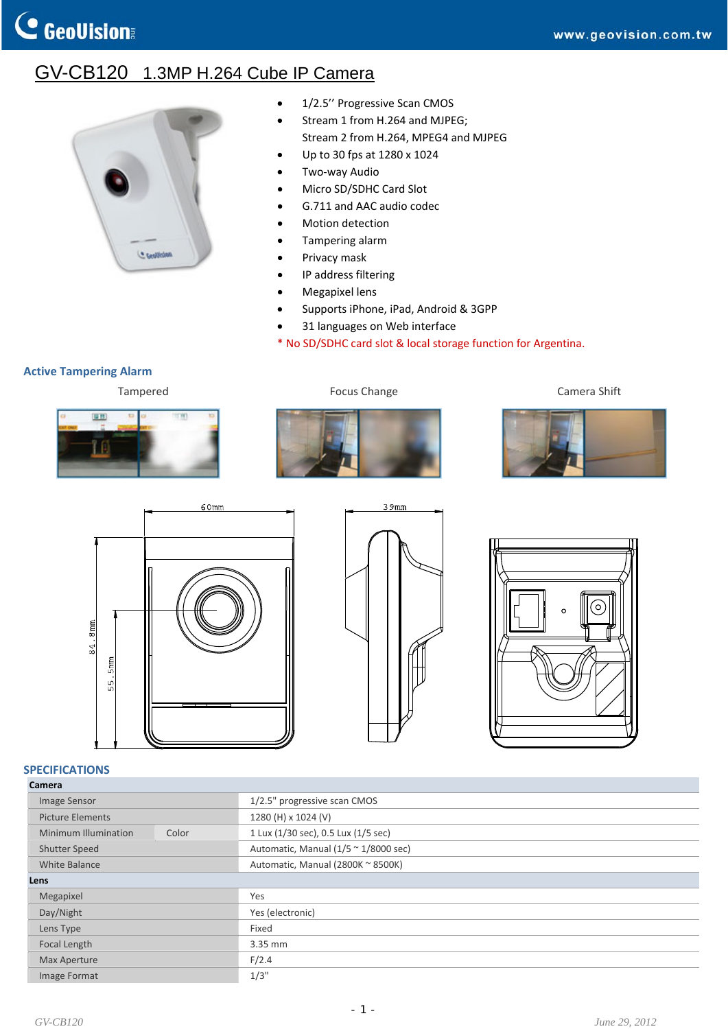## GV-CB120 1.3MP H.264 Cube IP Camera



- 1/2.5" Progressive Scan CMOS
- Stream 1 from H.264 and MJPEG; Stream 2 from H.264, MPEG4 and MJPEG
- Up to 30 fps at 1280 x 1024
- Two‐way Audio
- Micro SD/SDHC Card Slot
- G.711 and AAC audio codec
- Motion detection
- Tampering alarm
- Privacy mask
- IP address filtering
- Megapixel lens
- Supports iPhone, iPad, Android & 3GPP
- 31 languages on Web interface
- \* No SD/SDHC card slot & local storage function for Argentina.

## **Active Tampering Alarm**





Tampered **Focus Change** Focus Change **Camera Shift** Camera Shift









## **SPECIFICATIONS**

| Camera |
|--------|
|--------|

| cannera                 |       |                                                   |
|-------------------------|-------|---------------------------------------------------|
| Image Sensor            |       | 1/2.5" progressive scan CMOS                      |
| <b>Picture Elements</b> |       | 1280 (H) x 1024 (V)                               |
| Minimum Illumination    | Color | 1 Lux (1/30 sec), 0.5 Lux (1/5 sec)               |
| Shutter Speed           |       | Automatic, Manual $(1/5 \sim 1/8000 \text{ sec})$ |
| White Balance           |       | Automatic, Manual (2800K ~ 8500K)                 |
| Lens                    |       |                                                   |
| Megapixel               |       | Yes                                               |
| Day/Night               |       | Yes (electronic)                                  |
| Lens Type               |       | Fixed                                             |
| Focal Length            |       | 3.35 mm                                           |
| Max Aperture            |       | F/2.4                                             |
| Image Format            |       | 1/3"                                              |